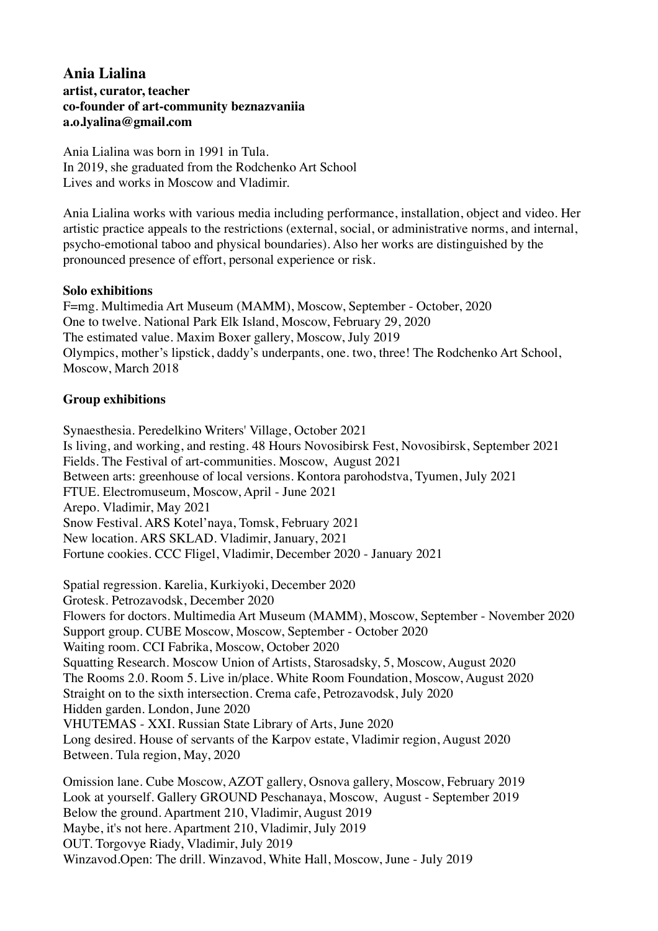# **Ania Lialina artist, curator, teacher co-founder of art-community [beznazvaniia](https://www.instagram.com/_beznazvaniia/) a.o.lyalina@gmail.com**

Ania Lialina was born in 1991 in Tula. In 2019, she graduated from the Rodchenko Art School Lives and works in Moscow and Vladimir.

Ania Lialina works with various media including performance, installation, object and video. Her artistic practice appeals to the restrictions (external, social, or administrative norms, and internal, psycho-emotional taboo and physical boundaries). Also her works are distinguished by the pronounced presence of effort, personal experience or risk.

#### **Solo exhibitions**

F=mg. Multimedia Art Museum (MAMM), Moscow, September - October, 2020 One to twelve. National Park Elk Island, Moscow, February 29, 2020 The estimated value. Maxim Boxer gallery, Moscow, July 2019 Olympics, mother's lipstick, daddy's underpants, one. two, three! The Rodchenko Art School, Moscow, March 2018

### **Group exhibitions**

Synaesthesia. Peredelkino Writers' Village, October 2021 Is living, and working, and resting. 48 Hours Novosibirsk Fest, Novosibirsk, September 2021 Fields. The Festival of art-communities. Moscow, August 2021 Between arts: greenhouse of local versions. Kontora parohodstva, Tyumen, July 2021 FTUE. Electromuseum, Moscow, April - June 2021 Arepo. Vladimir, May 2021 Snow Festival. ARS Kotel'naya, Tomsk, February 2021 New location. ARS SKLAD. Vladimir, January, 2021 Fortune cookies. CCC Fligel, Vladimir, December 2020 - January 2021

Spatial regression. Karelia, Kurkiyoki, December 2020 Grotesk. Petrozavodsk, December 2020 Flowers for doctors. Multimedia Art Museum (MAMM), Moscow, September - November 2020 Support group. CUBE Moscow, Moscow, September - October 2020 Waiting room. ССI Fabrika, Moscow, October 2020 Squatting Research. Moscow Union of Artists, Starosadsky, 5, Moscow, August 2020 The Rooms 2.0. Room 5. Live in/place. White Room Foundation, Moscow, August 2020 Straight on to the sixth intersection. Crema cafe, Petrozavodsk, July 2020 Hidden garden. London, June 2020 VHUTEMAS - XXI. Russian State Library of Arts, June 2020 Long desired. House of servants of the Karpov estate, Vladimir region, August 2020 Between. Tula region, May, 2020 Omission lane. Cube Moscow, AZOT gallery, Osnova gallery, Moscow, February 2019

Look at yourself. Gallery GROUND Peschanaya, Moscow, August - September 2019 Below the ground. Apartment 210, Vladimir, August 2019 Maybe, it's not here. Apartment 210, Vladimir, July 2019 OUT. Torgovye Riady, Vladimir, July 2019 Winzavod.Open: The drill. Winzavod, White Hall, Moscow, June - July 2019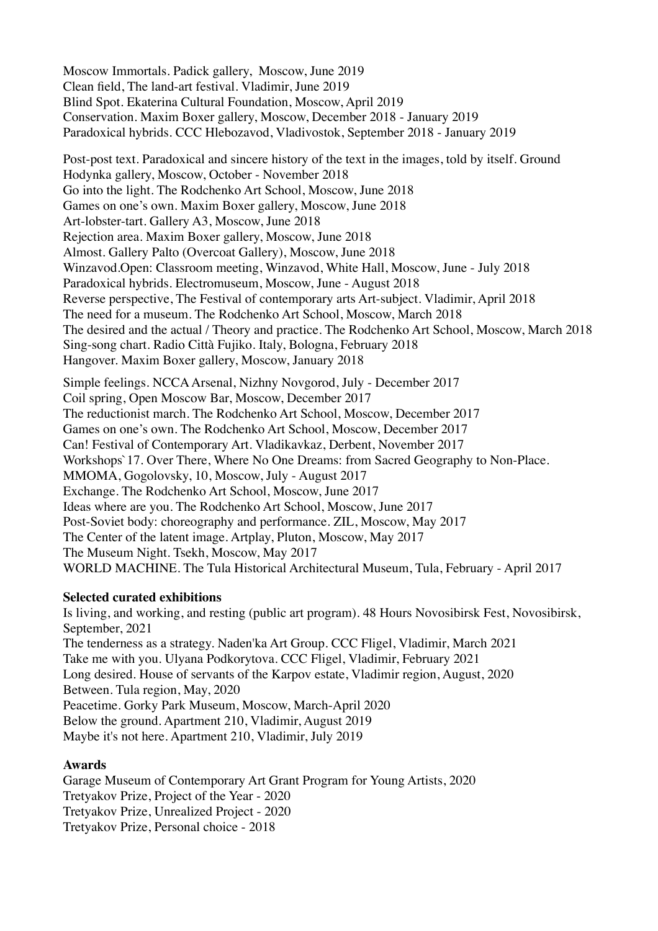Moscow Immortals. Padick gallery, Moscow, June 2019 Clean field, The land-art festival. Vladimir, June 2019 Blind Spot. Ekaterina Cultural Foundation, Moscow, April 2019 Сonservation. Maxim Boxer gallery, Moscow, December 2018 - January 2019 Paradoxical hybrids. ССС Hlebozavod, Vladivostok, September 2018 - January 2019

Post-post text. Paradoxical and sincere history of the text in the images, told by itself. Ground Hodynka gallery, Moscow, October - November 2018 Go into the light. The Rodchenko Art School, Moscow, June 2018 Games on one's own. Maxim Boxer gallery, Moscow, June 2018 Art-lobster-tart. Gallery A3, Moscow, June 2018 Rejection area. Maxim Boxer gallery, Moscow, June 2018 Almost. Gallery Palto (Overcoat Gallery), Moscow, June 2018 Winzavod.Open: Classroom meeting, Winzavod, White Hall, Moscow, June - July 2018 Paradoxical hybrids. Electromuseum, Moscow, June - August 2018 Reverse perspective, The Festival of contemporary arts Art-subject. Vladimir, April 2018 The need for a museum. The Rodchenko Art School, Moscow, March 2018 The desired and the actual / Theory and practice. The Rodchenko Art School, Moscow, March 2018 Sing-song chart. Radio Città Fujiko. Italy, Bologna, February 2018 Hangover. Maxim Boxer gallery, Moscow, January 2018

Simple feelings. NCCA Arsenal, Nizhny Novgorod, July - December 2017 Сoil spring, Open Moscow Bar, Moscow, December 2017 The reductionist march. The Rodchenko Art School, Moscow, December 2017 Games on one's own. The Rodchenko Art School, Moscow, December 2017 Can! Festival of Contemporary Art. Vladikavkaz, Derbent, November 2017 Workshops`17. Over There, Where No One Dreams: from Sacred Geography to Non-Place. MMOMA, Gogolovsky, 10, Moscow, July - August 2017 Exchange. The Rodchenko Art School, Moscow, June 2017 Ideas where are you. The Rodchenko Art School, Moscow, June 2017 Post-Soviet body: choreography and performance. ZIL, Moscow, May 2017 The Center of the latent image. Artplay, Pluton, Moscow, May 2017 The Museum Night. Tsekh, Moscow, May 2017 WORLD MACHINE. The Tula Historical Architectural Museum, Tula, February - April 2017

### **Selected curated exhibitions**

Is living, and working, and resting (public art program). 48 Hours Novosibirsk Fest, Novosibirsk, September, 2021 The tenderness as a strategy. Naden'ka Art Group. CCC Fligel, Vladimir, March 2021 Take me with you. Ulyana Podkorytova. CCC Fligel, Vladimir, February 2021 Long desired. House of servants of the Karpov estate, Vladimir region, August, 2020 Between. Tula region, May, 2020 Peacetime. Gorky Park Museum, Moscow, March-April 2020 Below the ground. Apartment 210, Vladimir, August 2019 Maybe it's not here. Apartment 210, Vladimir, July 2019

# **Awards**

Garage Museum of Contemporary Art Grant Program for Young Artists, 2020 Tretyakov Prize, Project of the Year - 2020 Tretyakov Prize, Unrealized Project - 2020 Tretyakov Prize, Personal choice - 2018